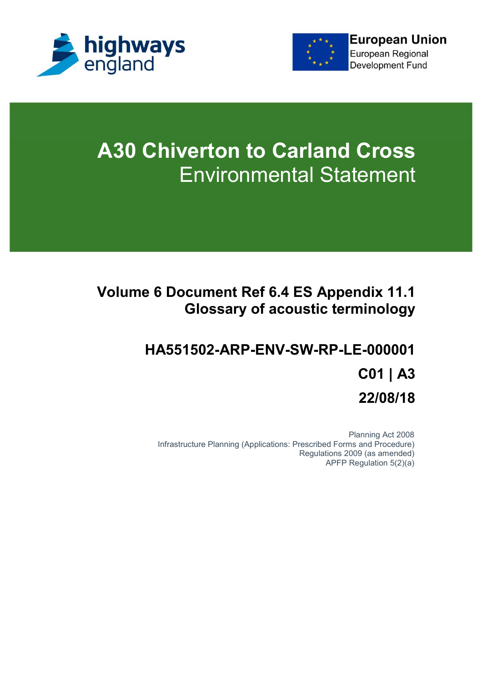



# **A30 Chiverton to Carland Cross** Environmental Statement

## **Volume 6 Document Ref 6.4 ES Appendix 11.1 Glossary of acoustic terminology**

## **HA551502-ARP-ENV-SW-RP-LE-000001 C01 | A3 22/08/18**

Planning Act 2008 Infrastructure Planning (Applications: Prescribed Forms and Procedure) Regulations 2009 (as amended) APFP Regulation 5(2)(a)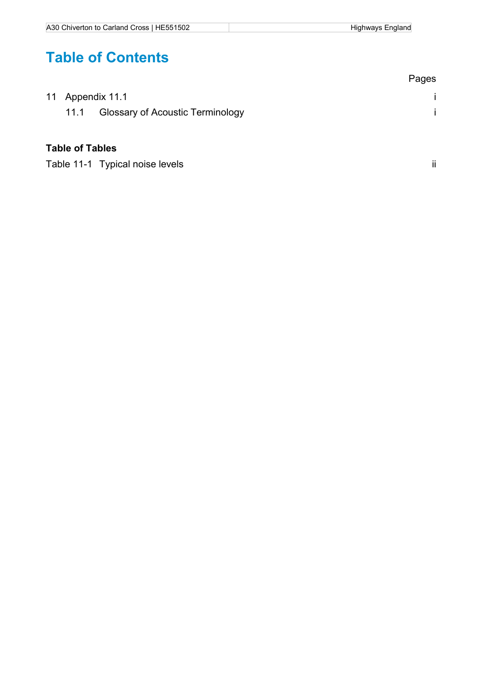## **Table of Contents**

|                        |                                         | Pages |
|------------------------|-----------------------------------------|-------|
| 11 Appendix 11.1       |                                         |       |
| 11.1                   | <b>Glossary of Acoustic Terminology</b> |       |
| <b>Table of Tables</b> |                                         |       |

Table 11-1 Typical noise levels ii experience of the state of the state of the state of the state of the state of the state of the state of the state of the state of the state of the state of the state of the state of the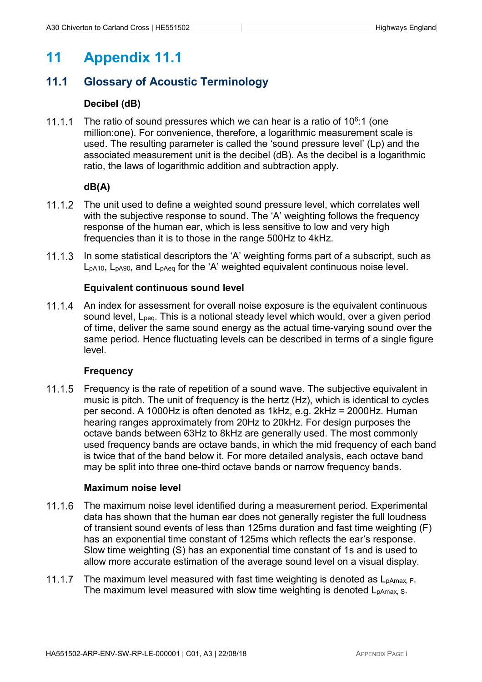### **11 Appendix 11.1**

#### **11.1 Glossary of Acoustic Terminology**

#### **Decibel (dB)**

The ratio of sound pressures which we can hear is a ratio of  $10^6$ :1 (one million:one). For convenience, therefore, a logarithmic measurement scale is used. The resulting parameter is called the 'sound pressure level' (Lp) and the associated measurement unit is the decibel (dB). As the decibel is a logarithmic ratio, the laws of logarithmic addition and subtraction apply.

#### **dB(A)**

- 11.1.2 The unit used to define a weighted sound pressure level, which correlates well with the subjective response to sound. The 'A' weighting follows the frequency response of the human ear, which is less sensitive to low and very high frequencies than it is to those in the range 500Hz to 4kHz.
- 11.1.3 In some statistical descriptors the 'A' weighting forms part of a subscript, such as LpA10, LpA90, and LpAeq for the 'A' weighted equivalent continuous noise level.

#### **Equivalent continuous sound level**

11.1.4 An index for assessment for overall noise exposure is the equivalent continuous sound level, Lpeq. This is a notional steady level which would, over a given period of time, deliver the same sound energy as the actual time-varying sound over the same period. Hence fluctuating levels can be described in terms of a single figure level.

#### **Frequency**

11.1.5 Frequency is the rate of repetition of a sound wave. The subjective equivalent in music is pitch. The unit of frequency is the hertz (Hz), which is identical to cycles per second. A 1000Hz is often denoted as 1kHz, e.g. 2kHz = 2000Hz. Human hearing ranges approximately from 20Hz to 20kHz. For design purposes the octave bands between 63Hz to 8kHz are generally used. The most commonly used frequency bands are octave bands, in which the mid frequency of each band is twice that of the band below it. For more detailed analysis, each octave band may be split into three one-third octave bands or narrow frequency bands.

#### **Maximum noise level**

- 11.1.6 The maximum noise level identified during a measurement period. Experimental data has shown that the human ear does not generally register the full loudness of transient sound events of less than 125ms duration and fast time weighting (F) has an exponential time constant of 125ms which reflects the ear's response. Slow time weighting (S) has an exponential time constant of 1s and is used to allow more accurate estimation of the average sound level on a visual display.
- 11.1.7 The maximum level measured with fast time weighting is denoted as  $L_{\text{pAmax}}$ , F. The maximum level measured with slow time weighting is denoted  $L_{\text{pAmax}}$ , s.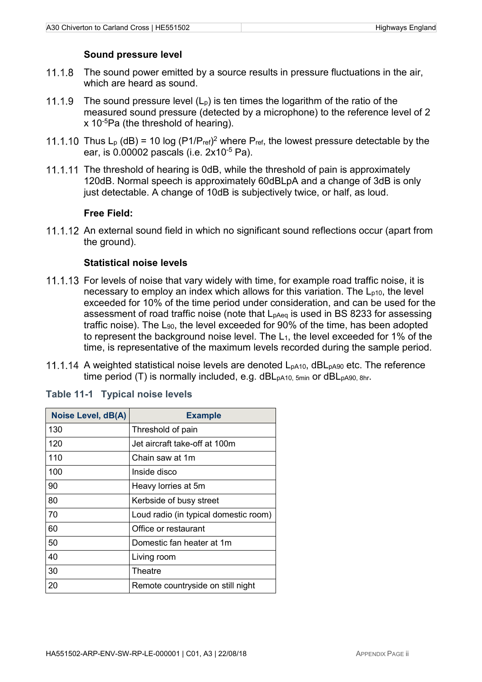#### **Sound pressure level**

- 11.1.8 The sound power emitted by a source results in pressure fluctuations in the air. which are heard as sound.
- 11.1.9 The sound pressure level  $(L_p)$  is ten times the logarithm of the ratio of the measured sound pressure (detected by a microphone) to the reference level of 2 x 10-5Pa (the threshold of hearing).
- Thus  $L_p$  (dB) = 10 log (P1/P<sub>ref)</sub><sup>2</sup> where P<sub>ref</sub>, the lowest pressure detectable by the ear, is 0.00002 pascals (i.e. 2x10-5 Pa).
- 11.1.11 The threshold of hearing is 0dB, while the threshold of pain is approximately 120dB. Normal speech is approximately 60dBLpA and a change of 3dB is only just detectable. A change of 10dB is subjectively twice, or half, as loud.

#### **Free Field:**

11.1.12 An external sound field in which no significant sound reflections occur (apart from the ground).

#### **Statistical noise levels**

- 11.1.13 For levels of noise that vary widely with time, for example road traffic noise, it is necessary to employ an index which allows for this variation. The  $L_{p10}$ , the level exceeded for 10% of the time period under consideration, and can be used for the assessment of road traffic noise (note that L<sub>pAeq</sub> is used in BS 8233 for assessing traffic noise). The L90, the level exceeded for 90% of the time, has been adopted to represent the background noise level. The  $L_1$ , the level exceeded for 1% of the time, is representative of the maximum levels recorded during the sample period.
- 11.1.14 A weighted statistical noise levels are denoted L<sub>pA10</sub>, dBL<sub>pA90</sub> etc. The reference time period (T) is normally included, e.g. dBL<sub>pA10, 5min</sub> or dBL<sub>pA90, 8hr</sub>.

| <b>Noise Level, dB(A)</b> | <b>Example</b>                        |
|---------------------------|---------------------------------------|
| 130                       | Threshold of pain                     |
| 120                       | Jet aircraft take-off at 100m         |
| 110                       | Chain saw at 1m                       |
| 100                       | Inside disco                          |
| 90                        | Heavy lorries at 5m                   |
| 80                        | Kerbside of busy street               |
| 70                        | Loud radio (in typical domestic room) |
| 60                        | Office or restaurant                  |
| 50                        | Domestic fan heater at 1m             |
| 40                        | Living room                           |
| 30                        | Theatre                               |
| 20                        | Remote countryside on still night     |

**Table 11-1 Typical noise levels**